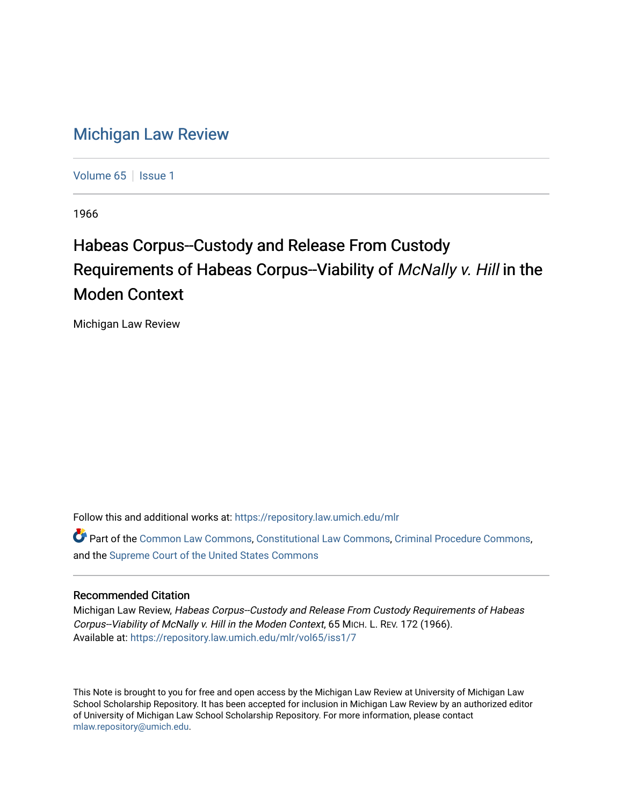## [Michigan Law Review](https://repository.law.umich.edu/mlr)

[Volume 65](https://repository.law.umich.edu/mlr/vol65) | [Issue 1](https://repository.law.umich.edu/mlr/vol65/iss1)

1966

# Habeas Corpus--Custody and Release From Custody Requirements of Habeas Corpus--Viability of McNally v. Hill in the Moden Context

Michigan Law Review

Follow this and additional works at: [https://repository.law.umich.edu/mlr](https://repository.law.umich.edu/mlr?utm_source=repository.law.umich.edu%2Fmlr%2Fvol65%2Fiss1%2F7&utm_medium=PDF&utm_campaign=PDFCoverPages) 

Part of the [Common Law Commons,](http://network.bepress.com/hgg/discipline/1120?utm_source=repository.law.umich.edu%2Fmlr%2Fvol65%2Fiss1%2F7&utm_medium=PDF&utm_campaign=PDFCoverPages) [Constitutional Law Commons,](http://network.bepress.com/hgg/discipline/589?utm_source=repository.law.umich.edu%2Fmlr%2Fvol65%2Fiss1%2F7&utm_medium=PDF&utm_campaign=PDFCoverPages) [Criminal Procedure Commons,](http://network.bepress.com/hgg/discipline/1073?utm_source=repository.law.umich.edu%2Fmlr%2Fvol65%2Fiss1%2F7&utm_medium=PDF&utm_campaign=PDFCoverPages) and the [Supreme Court of the United States Commons](http://network.bepress.com/hgg/discipline/1350?utm_source=repository.law.umich.edu%2Fmlr%2Fvol65%2Fiss1%2F7&utm_medium=PDF&utm_campaign=PDFCoverPages)

### Recommended Citation

Michigan Law Review, Habeas Corpus--Custody and Release From Custody Requirements of Habeas Corpus--Viability of McNally v. Hill in the Moden Context, 65 MICH. L. REV. 172 (1966). Available at: [https://repository.law.umich.edu/mlr/vol65/iss1/7](https://repository.law.umich.edu/mlr/vol65/iss1/7?utm_source=repository.law.umich.edu%2Fmlr%2Fvol65%2Fiss1%2F7&utm_medium=PDF&utm_campaign=PDFCoverPages)

This Note is brought to you for free and open access by the Michigan Law Review at University of Michigan Law School Scholarship Repository. It has been accepted for inclusion in Michigan Law Review by an authorized editor of University of Michigan Law School Scholarship Repository. For more information, please contact [mlaw.repository@umich.edu.](mailto:mlaw.repository@umich.edu)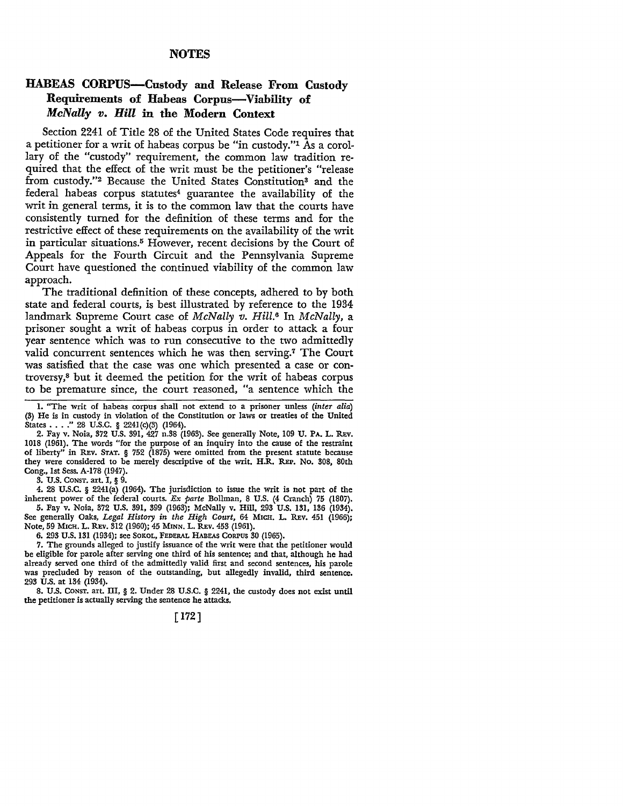### **HABEAS CORPUS-Custody and** Release **From Custody Requirements of Habeas Corpus-Viability of**  *McNally v. Hill* in **the Modern Context**

Section 2241 of Title 28 of the United States Code requires that a petitioner for a writ of habeas corpus be "in custody."1 As a corollary of the "custody" requirement, the common law tradition required that the effect of the writ must be the petitioner's "release from custody.''2 Because the United States Constitution3 and the federal habeas corpus statutes<sup>4</sup> guarantee the availability of the writ in general terms, it is to the common law that the courts have consistently turned for the definition of these terms and for the restrictive effect of these requirements on the availability of the writ in particular situations.<sup>5</sup> However, recent decisions by the Court of Appeals for the Fourth Circuit and the Pennsylvania Supreme Court have questioned the continued viability of the common law approach.

The traditional definition of these concepts, adhered to by both state and federal courts, is best illustrated by reference to the 1934 landmark Supreme Court case of *McNally v. Hill.*<sup>6</sup> In *McNally*, a prisoner sought a writ of habeas corpus in order to attack a four year sentence which was to run consecutive to the two admittedly valid concurrent sentences which he was then serving.7 The Court was satisfied that the case was one which presented a case or controversy, 8 but it deemed the petition for the writ of habeas corpus to be premature since, the court reasoned, "a sentence which the

1018 (1961). The words "for the purpose of an inquiry into the cause of the restraint of liberty" in REV. STAT. § 752 (1875) were omitted from the present statute because they were considered to be merely descriptive of the writ. H.R. REP. No. 308, 80th Cong., 1st Sess. A-178 (1947).

3. U.S. CONST. art. I, § 9.

4. 28 U.S.C. § 224l(a) (1964). The jurisdiction to issue the writ is not part of the inherent power of the federal courts. *Ex parte* Bollman, 8 U.S. (4 Cranch) 75 (1807). 5. Fay v. Noia, 372 U.S. 391, 399 (1963); McNally v. Hill, 293 U.S. 131, 136 (1934). See generally Oaks, *Legal History in the High Court*, 64 MICH. L. REV. 451 (1966); Note, 59 MICH. L. REY. 312 (1960); 45 MINN. L. REV. 453 (1961).

6. 293 U.S. 131 (1934); see SOKOL, FEDERAL HABEAS CORPUS 30 (1965).

7. The grounds alleged to justify issuance of the writ were that the petitioner would be eligible for parole after serving one third of his sentence; and that, although he had already served one third of the admittedly valid first and second sentences, his parole was precluded by reason of the outstanding, but allegedly invalid, third sentence. 293 U.S. at 134 (1934).

8. U.S. CONST. art. III, § 2. Under 28 U.S.C. § 2241, the custody does not exist until the petitioner is actually serving the sentence he attacks.

[ 172]

<sup>1.</sup> "The writ of habeas corpus shall not extend to a prisoner unless *(inter alia)*  (3) He is in custody in violation of the Constitution or laws or treaties of the United States ••.. " 28 U.S.C. § 2241 (c)(3) (1964). 2. Fay v. Noia, 372 U.S. 391, 427 n.38 (1963). See generally Note, 109 U. PA. L. REY.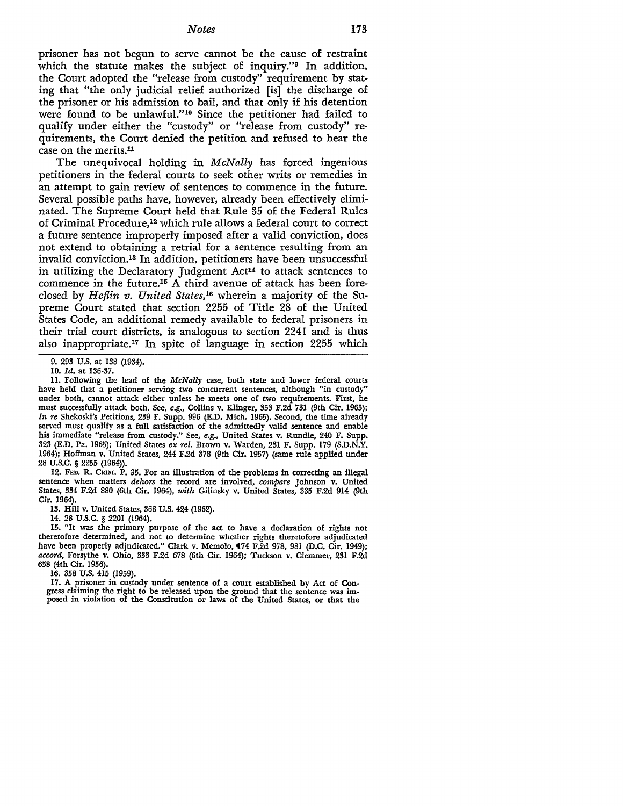prisoner has not begun to serve cannot be the cause of restraint which the statute makes the subject of inquiry."9 In addition, the Court adopted the "release from custody" requirement by stating that "the only judicial relief authorized [is] the discharge of the prisoner or his admission to bail, and that only if his detention were found to be unlawful."10 Since the petitioner had failed to qualify under either the "custody" or "release from custody" requirements, the Court denied the petition and refused to hear the case on the merits.<sup>11</sup>

The unequivocal holding in *McNally* has forced ingenious petitioners in the federal courts to seek other writs or remedies in an attempt to gain review of sentences to commence in the future. Several possible paths have, however, already been effectively eliminated. The Supreme Court held that Rule 35 of the Federal Rules of Criminal Procedure,12 which rule allows a federal court to correct a future sentence improperly imposed after a valid conviction, does not extend to obtaining a retrial for a sentence resulting from an invalid conviction.13 In addition, petitioners have been unsuccessful in utilizing the Declaratory Judgment Act<sup>14</sup> to attack sentences to commence in the future.15 A third avenue of attack has been foreclosed by *Heflin v. United States,16* wherein a majority of the Supreme Court stated that section 2255 of Title 28 of the United States Code, an additional remedy available to federal prisoners in their trial court districts, is analogous to section 2241 and is thus also inappropriate.17 In spite of language in section 2255 which

12. FED. R. CRIM. P. 35. For an illustration of the problems in correcting an illegal sentence when matters *dehors* the record are involved, *compare* Johnson v. United States, 334 F.2d 880 (6th Cir. 1964), *with Gilinsky v. United States*, 335 F.2d 914 (9th Cir. 1964).

**13. Hill v.** United States, 368 U.S. 424 (1962).

14. 28 u.s.c. § 2201 (1964).

15. "It was the primary purpose of the act to have a declaration of rights not theretofore determined, and not to determine whether rights theretofore adjudicated have been properly adjudicated." Clark v. Memolo, 174 F.2d 978, 981 (D.C. Cir. 1949); *accord,* Forsythe v. Ohio, 333 F.2d 678 (6th Cir. 1964); Tuckson v. Clemmer, 231 F.2d 658 (4th Cir. 1956).

16. 358 U.S. 415 (1959).

17. A prisoner in custody under sentence of a court established by Act of Congress claiming the right to be released upon the ground that the sentence was imposed in violation of the Constitution or laws of the United States, or that the

<sup>9. 293</sup> U.S. at 138 (1934).

<sup>10.</sup> *Id.* at 136-37.

<sup>11.</sup> Following the lead of the *McNally* case, both state and lower federal courts have held that a petitioner serving two concurrent sentences, although "in custody" under both, cannot attack either unless he meets one of two requirements. First, he must successfully attack both. See, *e.g.,* Collins v. Klinger, 353 F.2d 731 (9th Cir. 1965); *In re* Shekoski's Petitions, 239 F. Supp. 996 (E.D. Mich. 1965). Second, the time already served must qualify as a full satisfaction of the admittedly valid sentence and enable his immediate "release from custody." See, *e.g.,* United States v. Rundle, 240 F. Supp. 323 (E.D. Pa. 1965); United States *ex rel.* Brown v. Warden, 231 F. Supp. 179 (S.D.N.Y. 1964); Hoffman v. United States, 244 F.2d 378 (9th Cir. 1957) (same rule applied under 28 u.s.c. § 2255 (1964)).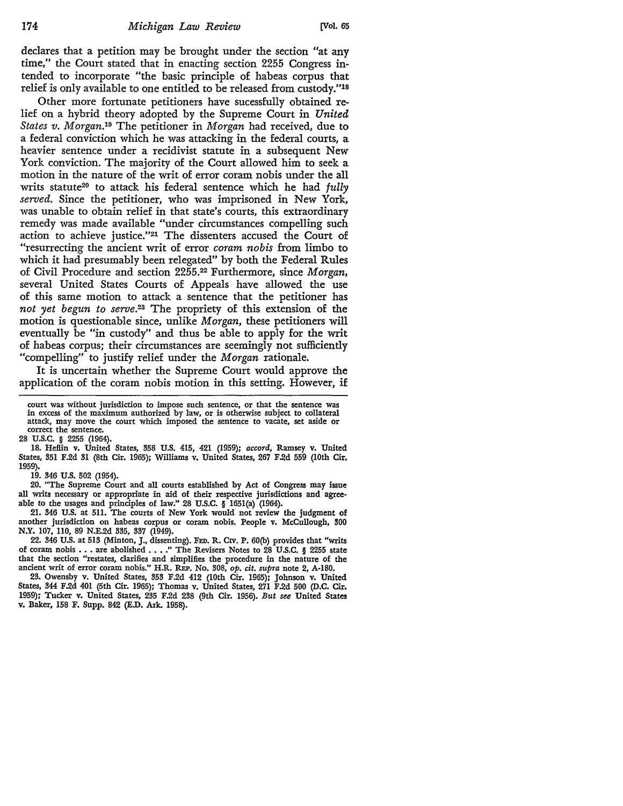declares that a petition may be brought under the section "at any time," the Court stated that in enacting section 2255 Congress intended to incorporate "the basic principle of habeas corpus that relief is only available to one entitled to be released from custody."18

Other more fortunate petitioners have sucessfully obtained relief on a hybrid theory adopted by the Supreme Court in *United States v. Morgan. <sup>19</sup>*The petitioner in *Morgan* had received, due to a federal conviction which he was attacking in the federal courts, a heavier sentence under a recidivist statute in a subsequent New York conviction. The majority of the Court allowed him to seek a motion in the nature of the writ of error coram nobis under the all writs statute<sup>20</sup> to attack his federal sentence which he had *fully served.* Since the petitioner, who was imprisoned in New York, was unable to obtain relief in that state's courts, this extraordinary remedy was made available "under circumstances compelling such action to achieve justice."21 The dissenters accused the Court of "resurrecting the ancient writ of error *coram nobis* from limbo to which it had presumably been relegated" by both the Federal Rules of Civil Procedure and section 2255.22 Furthermore, since *Morgan,*  several United States Courts of Appeals have allowed the use of this same motion to attack a sentence that the petitioner has *not yet begun to serve.23* The propriety of this extension of the motion is questionable since, unlike *Morgan,* these petitioners will eventually be "in custody" and thus be able to apply for the writ of habeas corpus; their circumstances are seemingly not sufficiently "compelling" to justify relief under the *Morgan* rationale.

It is uncertain whether the Supreme Court would approve the application of the coram nobis motion in this setting. However, if

court was without jurisdiction to impose such sentence, or that the sentence was in excess of the maximum authorized by law, or is otherwise subject to collateral attack, may move the court which imposed the sentence to vacate, set aside or correct the sentence.

28 u.s.c. § 2255 (1964).

18. Heflin v. United States, 358 U.S. 415, 421 (1959); *accord,* Ramsey v. United States, 351 F.2d 31 (8th Cir. 1965); Williams v. United States, 267 F.2d 559 (10th Cir. 1959).

19. 346 U.S. 502 (1954).

20. "The Supreme Court and all courts established by Act of Congress may issue all writs necessary or appropriate in aid of their respective jurisdictions and agree• able to the usages and principles of law." 28 U.S.C. § 1651(a) (1964).

21. 346 U.S. at 511. The courts of New York would not review the judgment of another jurisdiction on habeas corpus or coram nobis, People v. McCullough, 300 N.Y. 107, 110, 89 N.E.2d 335, 337 (1949).

22. 346 U.S. at 513 (Minton, J., dissenting). FED. R. Crv. P. 60(b) provides that "writs of coram nobis  $\ldots$  are abolished  $\ldots$ ." The Revisers Notes to 28 U.S.C. § 2255 state that the section "restates, clarifies and simplifies the procedure in the nature of the ancient writ of error coram nobis." H.R. REP. No. 308, *op. cit. supra* note 2, A-180.

23. Owensby v. United States, 353 F.2d 412 (10th Cir. 1965); Johnson v. United States, 344 F.2d 401 (5th Cir. 1965); Thomas v. United States, 271 F.2d 500 (D.C. Cir. 1959); Tucker v. United States, 235 F.2d 238 (9th Cir. 1956). *But see* United States v. Baker, 158 F. Supp. 842 (E.D. Ark. 1958),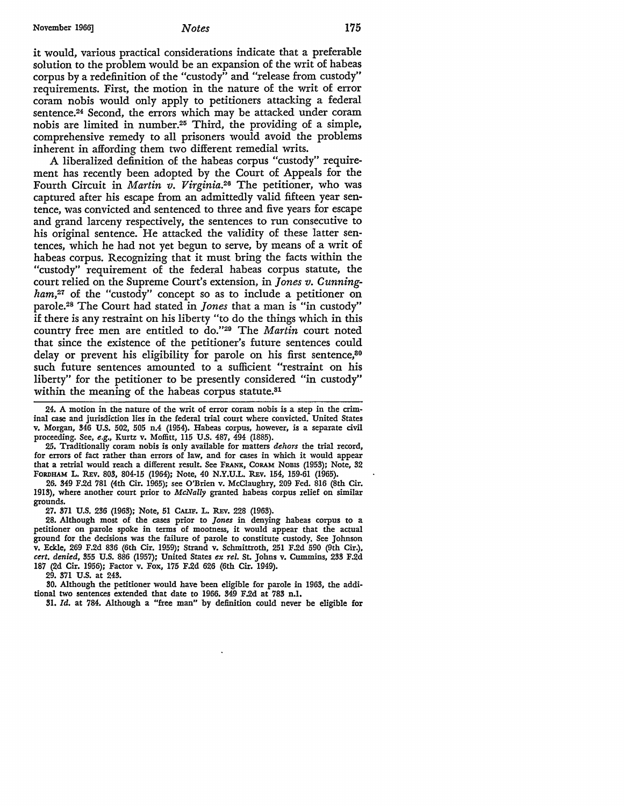it would, various practical considerations indicate that a preferable solution to the problem would be an expansion of the writ of habeas corpus by a redefinition of the "custody" and "release from custody" requirements. First, the motion in the nature of the writ of error coram nobis would only apply to petitioners attacking a federal sentence.24 Second, the errors which may be attacked under coram nobis are limited in number.25 Third, the providing of a simple, comprehensive remedy to all prisoners would avoid the problems inherent in affording them two different remedial writs.

A liberalized definition of the habeas corpus "custody" requirement has recently been adopted by the Court of Appeals for the Fourth Circuit in *Martin v. Virginia.26* The petitioner, who was captured after his escape from an admittedly valid fifteen year sentence, was convicted and sentenced to three and five years for escape and grand larceny respectively. the sentences to run consecutive to his original sentence. He attacked the validity of these latter sentences, which he had not yet begun to serve, by means of a writ of habeas corpus. Recognizing that it must bring the facts within the "custody" requirement of the federal habeas corpus statute, the court relied on the Supreme Court's extension, in *Jones v. Cunning*ham,<sup>27</sup> of the "custody" concept so as to include a petitioner on parole.28 The Court had stated in *Jones* that a man is "in custody" if there **is any** restraint on his liberty "to do the things which in this country free men are entitled to do."29 The *Martin* court noted that since the existence of the petitioner's future sentences could delay or prevent his eligibility for parole on his first sentence,<sup>80</sup> such future sentences amounted to a sufficient "restraint on his liberty" for the petitioner to be presently considered "in custody" within the meaning of the habeas corpus statute.<sup>31</sup>

24. A motion in the nature of the writ of error coram nobis is a step in the crim• inal case and jurisdiction lies in the federal trial court where convicted. United States v. Morgan, 846 U.S. 502, 505 n.4 (1954). Habeas corpus, however, is a separate civil proceeding. See, *e.g.,* Kurtz v. Moffitt, 115 U.S. 487, 494 (1885).

25. Traditionally coram nobis is only available for matters *dehors* the trial record, for errors of fact rather than errors of law, and for cases in which it would appear that a retrial would reach a different result. See FRANK, CORAM NOBIS (1953); Note, 32 FORDHAM L. REv. 808, 804-15 (1964); Note, 40 N.Y.U.L. REv. 154, 159-61 (1965).

26. 349 F.2d 781 (4th Cir. 1965); see O'Brien v. McClaughry, 209 Fed. 816 (8th Cir. 1918), where another court prior to *McNally* granted habeas corpus relief on similar grounds.

27. 871 U.S. 236 (1963); Note, 51 CALIF. L. REv. 228 (1963).

28. Although most of the cases prior to *Jones* in denying habeas corpus to a petitioner on parole spoke in terms of mootness, it would appear that the actual ground for the decisions was the failure of parole to constitute custody. See Johnson v. Eckle, 269 F.2d 836 (6th Cir. 1959); Strand v. Schmittroth, 251 F.2d 590 (9th Cir.), *cert. denied,* 855 U.S. 886 (1957); United States *ex rel.* St. Johns v. Cummins, 238 F.2d 187 (2d Cir. 1956); Factor v. Fox, 175 F.2d 626 (6th Cir. 1949).

29. 371 U.S. at 243.

SO. Although the petitioner would have been eligible for parole in 1968, the additional two sentences extended that date to 1966. 349 F.2d at 783 n.l.

Sl. *Id.* at 784. Although a "free man" by definition could never be eligible for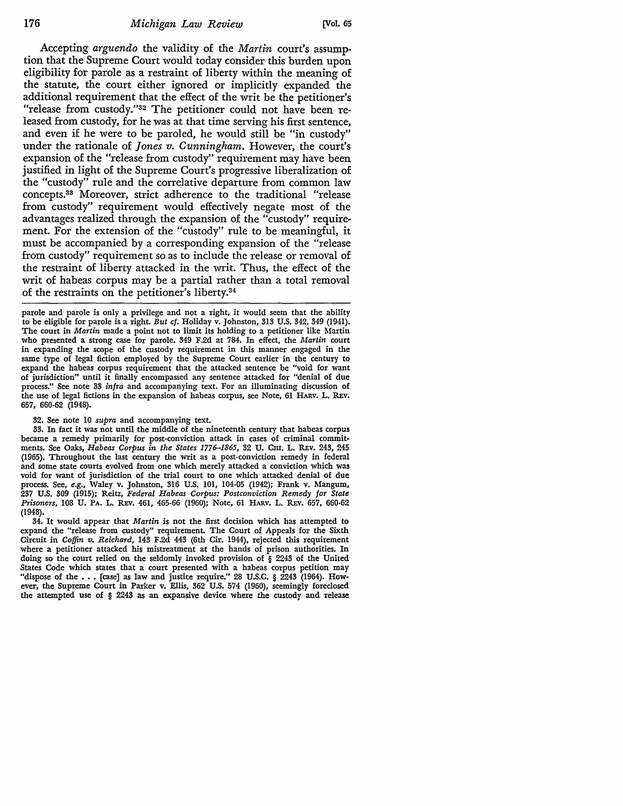Accepting *arguendo* the validity of the *Martin* court's assumption that the Supreme Court would today consider this burden upon eligibility for parole as a restraint of liberty within the meaning of the statute, the court either ignored or implicitly expanded the additional requirement that the effect of the writ be the petitioner's "release from custody."<sup>32</sup> The petitioner could not have been released from custody, for he was at that time serving his first sentence, and even if he were to be paroled, he would still be "in custody" under the rationale of *Jones v. Cunningham.* However, the court's expansion of the "release from custody" requirement may have been justified in light of the Supreme Court's progressive liberalization of the "custody" rule and the correlative departure from common law concepts.33 Moreover, strict adherence to the traditional "release from custody" requirement would effectively negate most of the advantages realized through the expansion of the "custody" requirement. For the extension of the "custody" rule to be meaningful, it must be accompanied by a corresponding expansion of the "release from custody" requirement so as to include the release or removal of the restraint of liberty attacked in the writ. Thus, the effect of the writ of habeas corpus may be a partial rather than a total removal of the restraints on the petitioner's liberty.<sup>34</sup>

parole and parole is only a privilege and not a right, it would seem that the ability to be eligible for parole is a right. *But* cf. Holiday v. Johnston, 313 U.S. 342, 349 (1941). The court in *Martin* made a point not to **limit its** holding to a petitioner like Martin who presented a strong case for parole. 349 F.2d at 784. In effect, the *Martin* court in expanding the scope of the custody requirement in this manner engaged in the same type of legal fiction employed by the Supreme Court earlier in the century to expand the habeas corpus requirement that the attacked sentence be "void for want of jurisdiction" until it finally encompassed any sentence attacked for "denial of due process." See note 33 *infra* and accompanying text. For an illuminating discussion of the use of legal fictions in the expansion of habeas corpus, see Note, 61 HARV. L. REV. 657, 660-62 (1948).

#### 32. See note IO *supra* and accompanying text.

33. In fact it was not until the middle of the nineteenth century that habeas corpus became a remedy primarily for post-conviction attack in cases of criminal commitments. See Oaks, *Habeas Corpus in the States 1776-1865,* 32 U. Cm. L. REv. 243, 245 (1965). Throughout the last century the writ as a post-conviction remedy in federal and some state courts evolved from one which merely attacked a conviction which was void for want of jurisdiction of the trial court to one which attacked denial of due process. See, *e.g.,* Waley v. Johnston, 316 U.S. 101, 104-05 (1942); Frank v. Mangum, 237 U.S. 309 (1915); Reitz, *Federal Habeas Corpus: Postconviction Remedy for State Prisoners,* 108 U. PA. L. REv. 461, 465-66 (1960); Note, 61 HARV. L. REv. 657, 660-62 (1948).

34. It would appear that *Martin* is not the first decision which has attempted to expand the "release from custody" requirement. The Court of Appeals for the Sixth Circuit in *Coffin v. Reichard,* 143 F.2d 443 (6th Cir. 1944), rejected this requirement where a petitioner attacked his mistreatment at the hands of prison authorities. In doing so the court relied on the seldomly invoked provision of § 2243 of the United States Code which states that a court presented with a habeas corpus petition may "dispose of the  $\ldots$  [case] as law and justice require." 28 U.S.C. § 2243 (1964). However, the Supreme Court in Parker v. Ellis, 362 U.S. 574 (1960), seemingly foreclosed the attempted use of § 2243 as an expansive device where the custody and release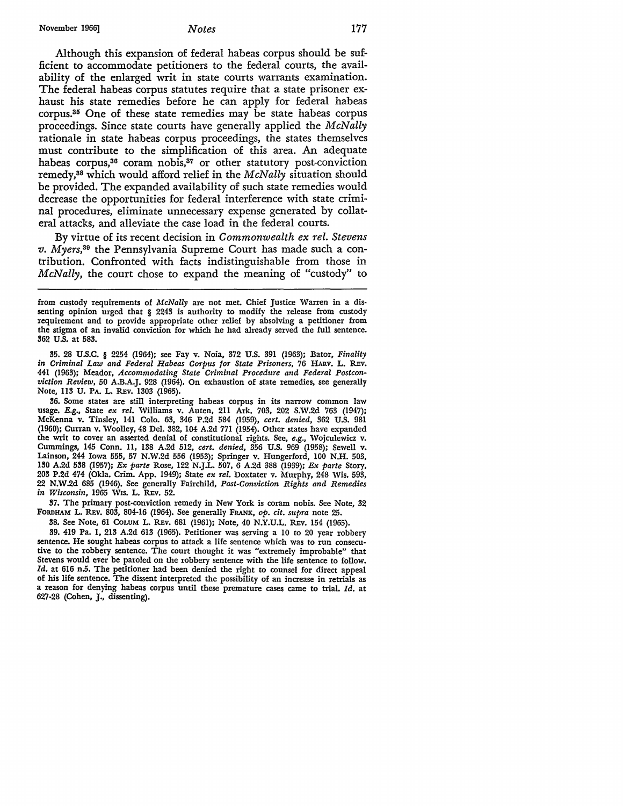Although this expansion of federal habeas corpus should be sufficient to accommodate petitioners to the federal courts, the availability of the enlarged writ in state courts warrants examination. The federal habeas corpus statutes require that a state prisoner exhaust his state remedies before he can apply for federal habeas corpus.35 One of these state remedies may be state habeas corpus proceedings. Since state courts have generally applied the *McNally*  rationale in state habeas corpus proceedings, the states themselves must contribute to the simplification of this area. An adequate habeas corpus,<sup>36</sup> coram nobis,<sup>37</sup> or other statutory post-conviction remedy,38 which would afford relief in the *McNally* situation should be provided. The expanded availability of such state remedies would decrease the opportunities for federal interference with state criminal procedures, eliminate unnecessary expense generated by collateral attacks, and alleviate the case load in the federal courts.

By virtue of its recent decision in *Commonwealth ex rel. Stevens v. Myers, <sup>39</sup>*the Pennsylvania Supreme Court has made such a contribution. Confronted with facts indistinguishable from those in *McNally,* the court chose to expand the meaning of "custody" to

35. 28 U.S.C. § 2254 (1964); see Fay v. Noia, 372 U.S. 391 (1963); Bator, *Finality in Criminal Law and Federal Habeas Corpus for State Prisoners, 76 HARV. L. REV.* 441 (1963); Meador, *Accommodating State Criminal Procedure and Federal Postconviction Review,* 50 A.B.A.J. 928 (1964). On exhaustion of state remedies, see generally Note, 113 U. PA. L. REv. 1303 (1965).

36. Some states are still interpreting habeas corpus in its narrow common law usage. *E.g.,* State *ex rel.* Williams v. Auten, 211 Ark. 703, 202 S.W.2d 763 (1947); McKenna v. Tinsley, 141 Colo. 63, 346 P .2d 584 (1959), *cert. denied,* 362 U.S. 981 (1960); Curran v. Woolley, 48 Del. 382, 104 A.2d 771 (1954). Other states have expanded the writ to cover an asserted denial of constitutional rights. See, *e.g.,* ·wojculewicz v. Cummings, 145 Conn. II, 138 A.2d 512, *cert. denied,* 356 U.S. 969 (1958); Sewell v. Lainson, 244 Iowa 555, 57 N.W.2d 556 (1953); Springer v. Hungerford, 100 N.H. 503, 130 A.2d 538 (1957); *Ex parte* Rose, 122 N.J.L. 507, 6 A.2d 388 (1939); *Ex parte* Story, 203 P.2d 474 (Okla. Crim. App. 1949); State *ex rel.* Doxtater v. Murphy, 248 Wis. 593, 22 N.W.2d 685 (1946). See generally Fairchild, *Post-Conviction Rights and Remedies in Wisconsin, 1965 WIS. L. REV. 52.* 

37. The primary post-conviction remedy in New York is coram nobis. See Note, 32 FORDHAM L. REv. 803, 804-16 (1964). See generally FRANK, *op. cit. supra* note 25.

38. See Note, 61 CoLUM L. REv. 681 (1961); Note, 40 N.Y.U.L. REv. 154 (1965).

39. 419 Pa. 1, 213 A.2d 613 (1965). Petitioner was serving a IO to 20 year robbery sentence. He sought habeas corpus to attack a life sentence which was to run consecutive to the robbery sentence. The court thought it was "extremely improbable" that Stevens would ever be paroled on the robbery sentence with the life sentence to follow. *Id.* at 616 n.5. The petitioner had been denied the right to counsel for direct appeal of his life sentence. The dissent interpreted the possibility of an increase in retrials as a reason for denying habeas corpus until these premature cases came to trial. *Id.* at 627-28 (Cohen, J., dissenting).

from custody requirements of *McNally* are not met. Chief Justice Warren in a dissenting opinion urged that § 2243 is authority to modify the release from custody requirement and to provide appropriate other relief by absolving a petitioner from the stigma of an invalid conviction for which he had already served the full sentence. 362 U.S. at 583.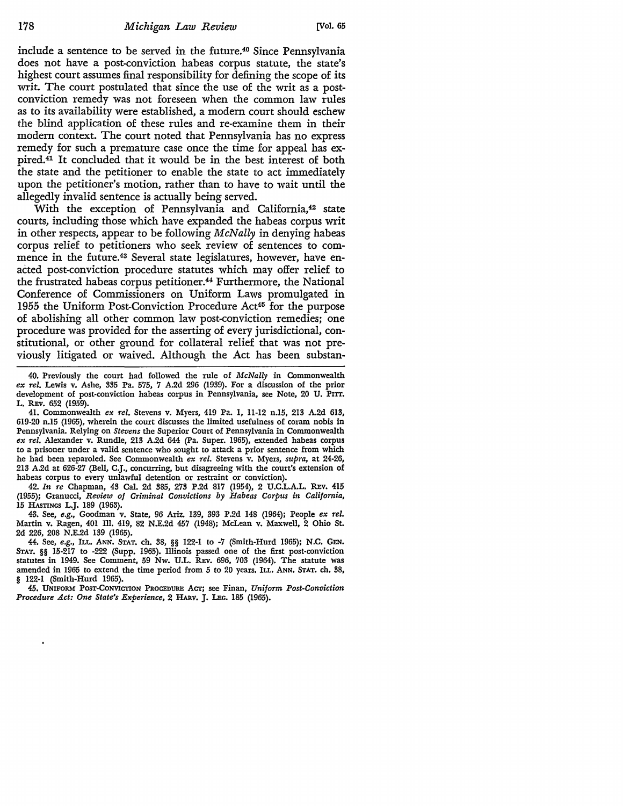include a sentence to be served in the future.40 Since Pennsylvania does not have a post-conviction habeas corpus statute, the state's highest court assumes final responsibility for defining the scope of its writ. The court postulated that since the use of the writ as a postconviction remedy was not foreseen when the common law rules as to its availability were established, a modem court should eschew the blind application of these rules and re-examine them in their modern context. The court noted that Pennsylvania has no express remedy for such a premature case once the time for appeal has expired.41 It concluded that it would be in the best interest of both the state and the petitioner to enable the state to act immediately upon the petitioner's motion, rather than to have to wait until the allegedly invalid sentence is actually being served.

With the exception of Pennsylvania and California,<sup>42</sup> state courts, including those which have expanded the habeas corpus writ in other respects, appear to be following *McNally* in denying habeas corpus relief to petitioners who seek review of sentences to commence in the future.<sup>43</sup> Several state legislatures, however, have enacted post-conviction procedure statutes which may offer relief to the frustrated habeas corpus petitioner.<sup>44</sup> Furthermore, the National Conference of Commissioners on Uniform Laws promulgated in 1955 the Uniform Post-Conviction Procedure Act<sup>45</sup> for the purpose of abolishing all other common law post-conviction remedies; one procedure was provided for the asserting of every jurisdictional, constitutional, or other ground for collateral relief that was not previously litigated or waived. Although the Act has been substan-

42. *In re* Chapman, 43 Cal. 2d 385, 273 P.2d 817 (1954), 2 U.C.L.A.L. REv. 415 (1955); Granucci, *Review of Criminal Convictions by Habeas Corpus in California,*  15 HASTINGS L.J. 189 (1963).

43. See, *e.g.,* Goodman v. State, 96 Ariz. 139, 393 P.2d 148 (1964); People *ex rel.*  Martin v. Ragen, 401 Ill. 419, 82 N.E.2d 457 (1948); McLean v. Maxwell, 2 Ohio St. 2d 226, 208 N.E.2d 139 (1965).

44. See, *e.g.,* ILL. ANN. STAT. ch. 38, §§ 122-1 to -7 (Smith-Hurd 1965); N.C. GEN. STAT. §§ 15-217 to -222 (Supp. 1965). Illinois passed one of the first post-conviction statutes in 1949. See Comment, 59 Nw. U.L. REv. 696, 703 (1964). The statute was amended in 1965 to extend the time period from 5 to 20 years. ILL. ANN. STAT. ch. 38, § 122-1 (Smith-Hurd 1965).

45. UNIFORM POST-CONVICTION PROCEDURE Acr; see Finan, *Uniform Post-Conviction Procedure Act: One State's Experience,* 2 HARv. J. LEG. 185 (1965).

<sup>40.</sup> Previously the court had followed the rule of *McNally* in Commonwealth *ex rel.* Lewis v. Ashe, 335 Pa. 575, 7 A.2d 296 (1939). For a discussion of the prior development of post-conviction habeas corpus in Pennsylvania, see Note, 20 U. PITT. L. REv. 652 (1959).

<sup>41.</sup> Commonwealth *ex rel.* Stevens v. Myers, 419 Pa. 1, 11-12 n.15, 213 A.2d 613, 619-20 n.15 (1965), wherein the court discusses the limited usefulness of coram nobis in Pennsylvania. Relying on *Stevens* the Superior Court of Pennsylvania in Commonwealth *ex rel.* Alexander v. Rundle, 213 A.2d 644 (Pa. Super. 1965), extended habeas corpus to a prisoner under a valid sentence who sought to attack a prior sentence from which he had been reparoled. See Commonwealth *ex rel.* Stevens v. Myers, *supra,* at 24-26, 213 A.2d at 626-27 (Bell, C.J., concurring, but disagreeing with the court's extension of habeas corpus to every unlawful detention or restraint or conviction).